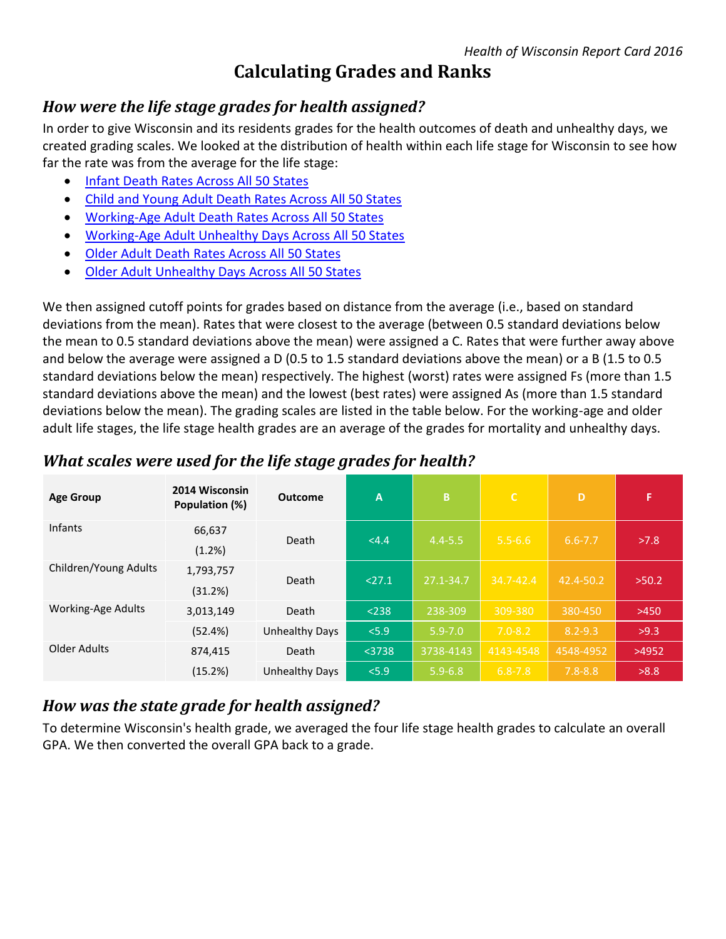# **Calculating Grades and Ranks**

### *How were the life stage grades for health assigned?*

In order to give Wisconsin and its residents grades for the health outcomes of death and unhealthy days, we created grading scales. We looked at the distribution of health within each life stage for Wisconsin to see how far the rate was from the average for the life stage:

- **[Infant Death Rates Across All 50 States](http://uwphi.pophealth.wisc.edu/programs/match/healthiest-state/report-card/2016/histogram-infant-death.pdf)**
- [Child and Young Adult Death Rates Across All 50 States](http://uwphi.pophealth.wisc.edu/programs/match/healthiest-state/report-card/2016/histogram-children-and-young-adults.pdf)
- [Working-Age Adult Death Rates Across All 50 States](http://uwphi.pophealth.wisc.edu/programs/match/healthiest-state/report-card/2016/histogram-working-age-adult-death.pdf)
- [Working-Age Adult Unhealthy Days Across All 50 States](http://uwphi.pophealth.wisc.edu/programs/match/healthiest-state/report-card/2016/histogram-working-age-adult-unhealthy-days.pdf)
- Older Adult Death [Rates Across All 50 States](http://uwphi.pophealth.wisc.edu/programs/match/healthiest-state/report-card/2016/histogram-older-adult-death.pdf)
- [Older Adult Unhealthy Days Across All 50 States](http://uwphi.pophealth.wisc.edu/programs/match/healthiest-state/report-card/2016/histogram-older-adult-unhealthy-days.pdf)

We then assigned cutoff points for grades based on distance from the average (i.e., based on standard deviations from the mean). Rates that were closest to the average (between 0.5 standard deviations below the mean to 0.5 standard deviations above the mean) were assigned a C. Rates that were further away above and below the average were assigned a D (0.5 to 1.5 standard deviations above the mean) or a B (1.5 to 0.5 standard deviations below the mean) respectively. The highest (worst) rates were assigned Fs (more than 1.5 standard deviations above the mean) and the lowest (best rates) were assigned As (more than 1.5 standard deviations below the mean). The grading scales are listed in the table below. For the working-age and older adult life stages, the life stage health grades are an average of the grades for mortality and unhealthy days.

| <b>Age Group</b>      | 2014 Wisconsin<br>Population (%) | <b>Outcome</b>        | A        | B           | $\mathsf{C}$  | D           | F.     |
|-----------------------|----------------------------------|-----------------------|----------|-------------|---------------|-------------|--------|
| <b>Infants</b>        | 66,637<br>(1.2%)                 | Death                 | <4.4     | $4.4 - 5.5$ | $5.5 - 6.6$   | $6.6 - 7.7$ | >7.8   |
| Children/Young Adults | 1,793,757<br>(31.2%)             | Death                 | < 27.1   | 27.1-34.7   | $34.7 - 42.4$ | 42.4-50.2   | >50.2  |
| Working-Age Adults    | 3,013,149                        | Death                 | < 238    | 238-309     | 309-380       | 380-450     | $>450$ |
|                       | (52.4%)                          | <b>Unhealthy Days</b> | < 5.9    | $5.9 - 7.0$ | $7.0 - 8.2$   | $8.2 - 9.3$ | >9.3   |
| Older Adults          | 874,415                          | Death                 | $<$ 3738 | 3738-4143   | 4143-4548     | 4548-4952   | >4952  |
|                       | (15.2%)                          | Unhealthy Days        | < 5.9    | $5.9 - 6.8$ | $6.8 - 7.8$   | $7.8 - 8.8$ | >8.8   |

#### *What scales were used for the life stage grades for health?*

# *How was the state grade for health assigned?*

To determine Wisconsin's health grade, we averaged the four life stage health grades to calculate an overall GPA. We then converted the overall GPA back to a grade.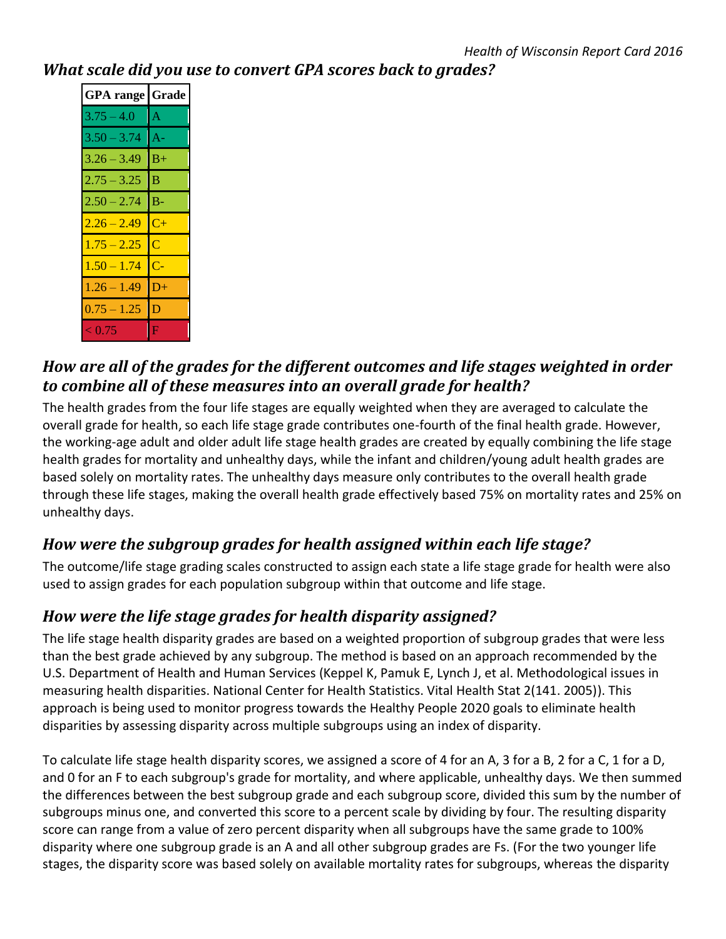#### *What scale did you use to convert GPA scores back to grades?*

| <b>GPA</b> range Grade |       |  |  |  |
|------------------------|-------|--|--|--|
| $3.75 - 4.0$           | ΙA    |  |  |  |
| $3.50 - 3.74$          | IA-   |  |  |  |
| $3.26 - 3.49$          | $B+$  |  |  |  |
| $2.75 - 3.25$          | в     |  |  |  |
| $2.50 - 2.74$          | $B -$ |  |  |  |
| $2.26 - 2.49$          | $C+$  |  |  |  |
| $1.75 - 2.25$          | C     |  |  |  |
| $1.50 - 1.74$          | C-    |  |  |  |
| $1.26 - 1.49$          | D+    |  |  |  |
| $0.75 - 1.25$          | D     |  |  |  |
| < 0.75                 | Е     |  |  |  |

# *How are all of the grades for the different outcomes and life stages weighted in order to combine all of these measures into an overall grade for health?*

The health grades from the four life stages are equally weighted when they are averaged to calculate the overall grade for health, so each life stage grade contributes one-fourth of the final health grade. However, the working-age adult and older adult life stage health grades are created by equally combining the life stage health grades for mortality and unhealthy days, while the infant and children/young adult health grades are based solely on mortality rates. The unhealthy days measure only contributes to the overall health grade through these life stages, making the overall health grade effectively based 75% on mortality rates and 25% on unhealthy days.

# *How were the subgroup grades for health assigned within each life stage?*

The outcome/life stage grading scales constructed to assign each state a life stage grade for health were also used to assign grades for each population subgroup within that outcome and life stage.

# *How were the life stage grades for health disparity assigned?*

The life stage health disparity grades are based on a weighted proportion of subgroup grades that were less than the best grade achieved by any subgroup. The method is based on an approach recommended by the U.S. Department of Health and Human Services (Keppel K, Pamuk E, Lynch J, et al. Methodological issues in measuring health disparities. National Center for Health Statistics. Vital Health Stat 2(141. 2005)). This approach is being used to monitor progress towards the Healthy People 2020 goals to eliminate health disparities by assessing disparity across multiple subgroups using an index of disparity.

To calculate life stage health disparity scores, we assigned a score of 4 for an A, 3 for a B, 2 for a C, 1 for a D, and 0 for an F to each subgroup's grade for mortality, and where applicable, unhealthy days. We then summed the differences between the best subgroup grade and each subgroup score, divided this sum by the number of subgroups minus one, and converted this score to a percent scale by dividing by four. The resulting disparity score can range from a value of zero percent disparity when all subgroups have the same grade to 100% disparity where one subgroup grade is an A and all other subgroup grades are Fs. (For the two younger life stages, the disparity score was based solely on available mortality rates for subgroups, whereas the disparity